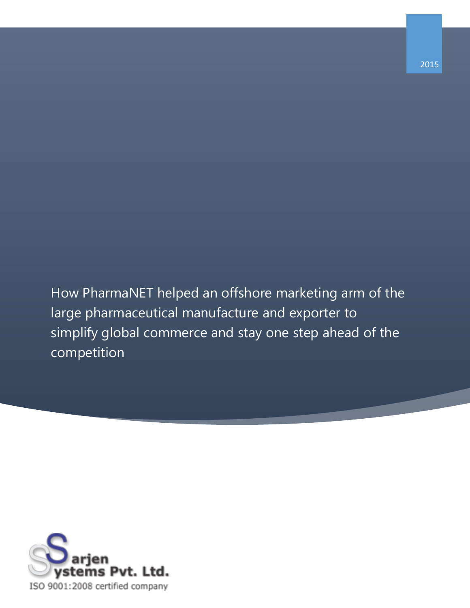How PharmaNET helped an offshore marketing arm of the large pharmaceutical manufacture and exporter to simplify global commerce and stay one step ahead of the competition

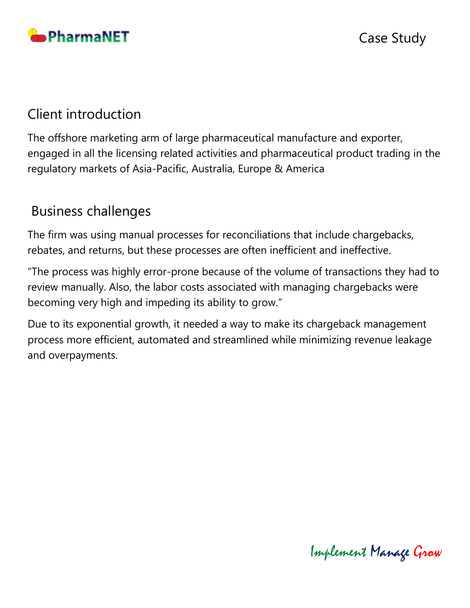

# Client introduction

The offshore marketing arm of large pharmaceutical manufacture and exporter, engaged in all the licensing related activities and pharmaceutical product trading in the regulatory markets of Asia-Pacific, Australia, Europe & America

## Business challenges

The firm was using manual processes for reconciliations that include chargebacks, rebates, and returns, but these processes are often inefficient and ineffective.

"The process was highly error-prone because of the volume of transactions they had to review manually. Also, the labor costs associated with managing chargebacks were becoming very high and impeding its ability to grow."

Due to its exponential growth, it needed a way to make its chargeback management process more efficient, automated and streamlined while minimizing revenue leakage and overpayments.

Implement Manage Grow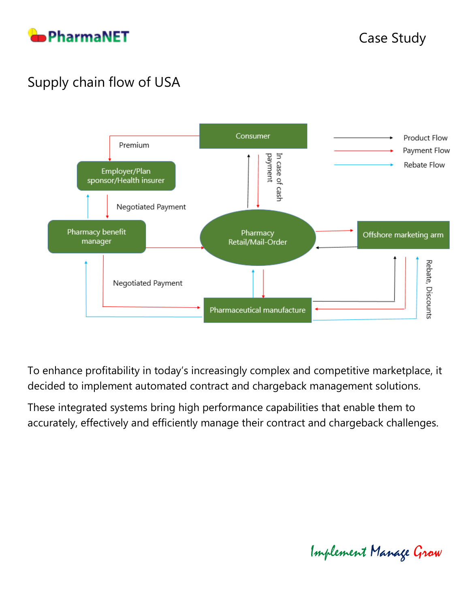

# Supply chain flow of USA



To enhance profitability in today's increasingly complex and competitive marketplace, it decided to implement automated contract and chargeback management solutions.

These integrated systems bring high performance capabilities that enable them to accurately, effectively and efficiently manage their contract and chargeback challenges.

Implement Manage Grow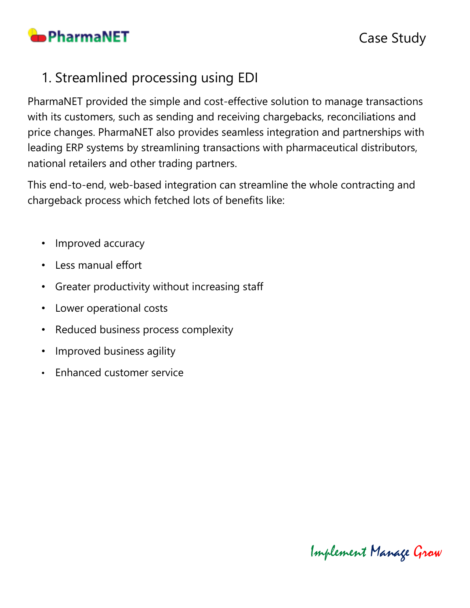

# 1. Streamlined processing using EDI

PharmaNET provided the simple and cost-effective solution to manage transactions with its customers, such as sending and receiving chargebacks, reconciliations and price changes. PharmaNET also provides seamless integration and partnerships with leading ERP systems by streamlining transactions with pharmaceutical distributors, national retailers and other trading partners.

This end-to-end, web-based integration can streamline the whole contracting and chargeback process which fetched lots of benefits like:

- Improved accuracy
- Less manual effort
- Greater productivity without increasing staff
- Lower operational costs
- Reduced business process complexity
- Improved business agility
- Enhanced customer service

Implement Manage Grow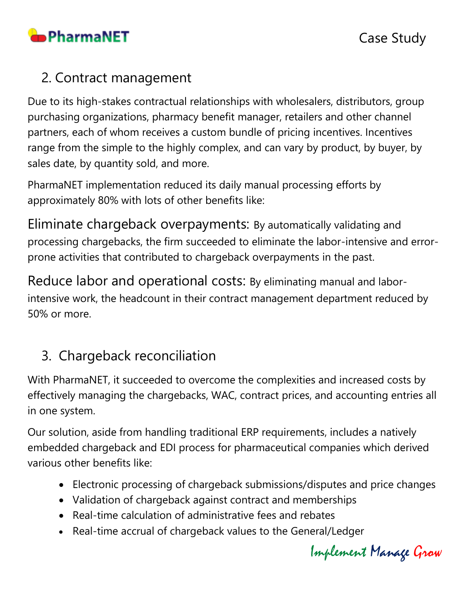

## 2. Contract management

Due to its high-stakes contractual relationships with wholesalers, distributors, group purchasing organizations, pharmacy benefit manager, retailers and other channel partners, each of whom receives a custom bundle of pricing incentives. Incentives range from the simple to the highly complex, and can vary by product, by buyer, by sales date, by quantity sold, and more.

PharmaNET implementation reduced its daily manual processing efforts by approximately 80% with lots of other benefits like:

Eliminate chargeback overpayments: By automatically validating and processing chargebacks, the firm succeeded to eliminate the labor-intensive and errorprone activities that contributed to chargeback overpayments in the past.

Reduce labor and operational costs: By eliminating manual and laborintensive work, the headcount in their contract management department reduced by 50% or more.

# 3. Chargeback reconciliation

With PharmaNET, it succeeded to overcome the complexities and increased costs by effectively managing the chargebacks, WAC, contract prices, and accounting entries all in one system.

Our solution, aside from handling traditional ERP requirements, includes a natively embedded chargeback and EDI process for pharmaceutical companies which derived various other benefits like:

- Electronic processing of chargeback submissions/disputes and price changes
- Validation of chargeback against contract and memberships
- Real-time calculation of administrative fees and rebates
- Real-time accrual of chargeback values to the General/Ledger

Implement Manage Grow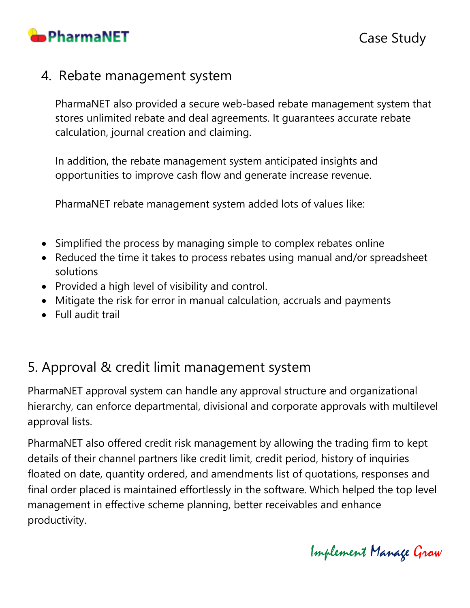

### 4. Rebate management system

PharmaNET also provided a secure web-based rebate management system that stores unlimited rebate and deal agreements. It guarantees accurate rebate calculation, journal creation and claiming.

In addition, the rebate management system anticipated insights and opportunities to improve cash flow and generate increase revenue.

PharmaNET rebate management system added lots of values like:

- Simplified the process by managing simple to complex rebates online
- Reduced the time it takes to process rebates using manual and/or spreadsheet solutions
- Provided a high level of visibility and control.
- Mitigate the risk for error in manual calculation, accruals and payments
- Full audit trail

# 5. Approval & credit limit management system

PharmaNET approval system can handle any approval structure and organizational hierarchy, can enforce departmental, divisional and corporate approvals with multilevel approval lists.

PharmaNET also offered credit risk management by allowing the trading firm to kept details of their channel partners like credit limit, credit period, history of inquiries floated on date, quantity ordered, and amendments list of quotations, responses and final order placed is maintained effortlessly in the software. Which helped the top level management in effective scheme planning, better receivables and enhance productivity.

Implement Manage Grow